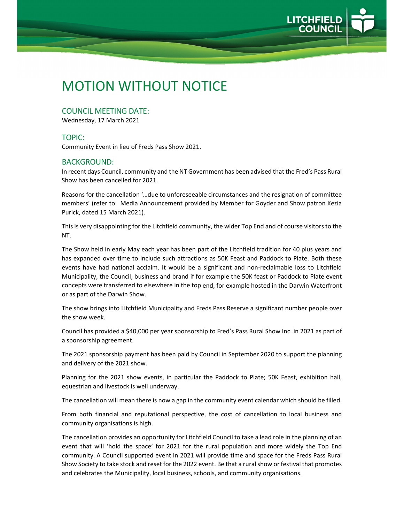

# MOTION WITHOUT NOTICE

#### COUNCIL MEETING DATE:

Wednesday, 17 March 2021

### TOPIC:

Community Event in lieu of Freds Pass Show 2021. 

#### BACKGROUND:

In recent days Council, community and the NT Government has been advised that the Fred's Pass Rural Show has been cancelled for 2021.

Reasons for the cancellation '…due to unforeseeable circumstances and the resignation of committee members' (refer to: Media Announcement provided by Member for Goyder and Show patron Kezia Purick, dated 15 March 2021).

This is very disappointing for the Litchfield community, the wider Top End and of course visitors to the NT.

The Show held in early May each year has been part of the Litchfield tradition for 40 plus years and has expanded over time to include such attractions as 50K Feast and Paddock to Plate. Both these events have had national acclaim. It would be a significant and non-reclaimable loss to Litchfield Municipality, the Council, business and brand if for example the 50K feast or Paddock to Plate event concepts were transferred to elsewhere in the top end, for example hosted in the Darwin Waterfront or as part of the Darwin Show.

The show brings into Litchfield Municipality and Freds Pass Reserve a significant number people over the show week.

Council has provided a \$40,000 per year sponsorship to Fred's Pass Rural Show Inc. in 2021 as part of a sponsorship agreement.

The 2021 sponsorship payment has been paid by Council in September 2020 to support the planning and delivery of the 2021 show.

Planning for the 2021 show events, in particular the Paddock to Plate; 50K Feast, exhibition hall, equestrian and livestock is well underway.

The cancellation will mean there is now a gap in the community event calendar which should be filled.

From both financial and reputational perspective, the cost of cancellation to local business and community organisations is high.

The cancellation provides an opportunity for Litchfield Council to take a lead role in the planning of an event that will 'hold the space' for 2021 for the rural population and more widely the Top End community. A Council supported event in 2021 will provide time and space for the Freds Pass Rural Show Society to take stock and reset for the 2022 event. Be that a rural show or festival that promotes and celebrates the Municipality, local business, schools, and community organisations.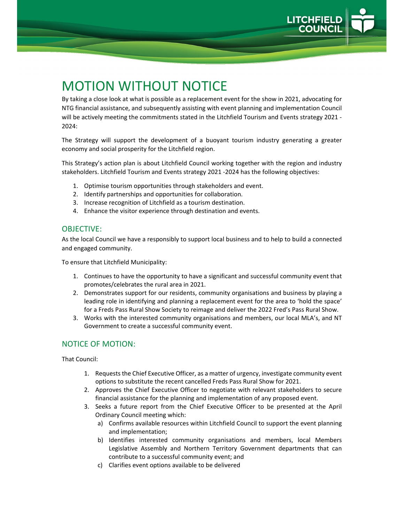

# MOTION WITHOUT NOTICE

By taking a close look at what is possible as a replacement event for the show in 2021, advocating for NTG financial assistance, and subsequently assisting with event planning and implementation Council will be actively meeting the commitments stated in the Litchfield Tourism and Events strategy 2021 -2024:

The Strategy will support the development of a buoyant tourism industry generating a greater economy and social prosperity for the Litchfield region.

This Strategy's action plan is about Litchfield Council working together with the region and industry stakeholders. Litchfield Tourism and Events strategy 2021 ‐2024 has the following objectives:

- 1. Optimise tourism opportunities through stakeholders and event.
- 2. Identify partnerships and opportunities for collaboration.
- 3. Increase recognition of Litchfield as a tourism destination.
- 4. Enhance the visitor experience through destination and events.

### OBJECTIVE:

As the local Council we have a responsibly to support local business and to help to build a connected and engaged community.

To ensure that Litchfield Municipality:

- 1. Continues to have the opportunity to have a significant and successful community event that promotes/celebrates the rural area in 2021.
- 2. Demonstrates support for our residents, community organisations and business by playing a leading role in identifying and planning a replacement event for the area to 'hold the space' for a Freds Pass Rural Show Society to reimage and deliver the 2022 Fred's Pass Rural Show.
- 3. Works with the interested community organisations and members, our local MLA's, and NT Government to create a successful community event.

### NOTICE OF MOTION:

That Council:

- 1. Requests the Chief Executive Officer, as a matter of urgency, investigate community event options to substitute the recent cancelled Freds Pass Rural Show for 2021.
- 2. Approves the Chief Executive Officer to negotiate with relevant stakeholders to secure financial assistance for the planning and implementation of any proposed event.
- 3. Seeks a future report from the Chief Executive Officer to be presented at the April Ordinary Council meeting which:
	- a) Confirms available resources within Litchfield Council to support the event planning and implementation;
	- b) Identifies interested community organisations and members, local Members Legislative Assembly and Northern Territory Government departments that can contribute to a successful community event; and
	- c) Clarifies event options available to be delivered